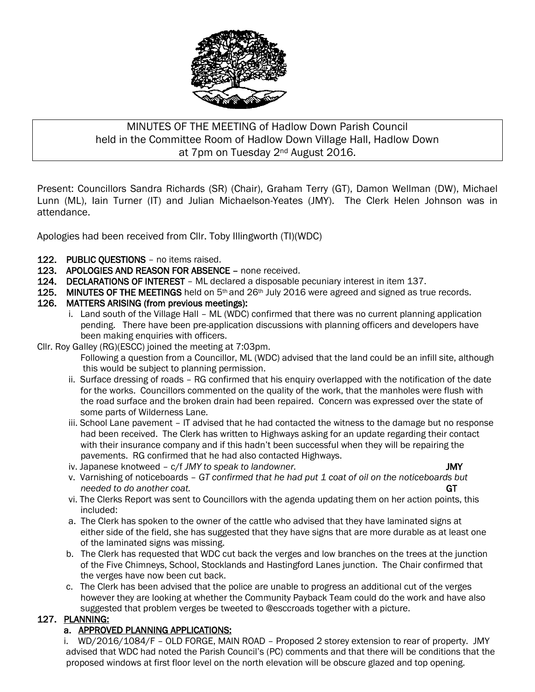

# MINUTES OF THE MEETING of Hadlow Down Parish Council held in the Committee Room of Hadlow Down Village Hall, Hadlow Down at 7pm on Tuesday 2nd August 2016.

Present: Councillors Sandra Richards (SR) (Chair), Graham Terry (GT), Damon Wellman (DW), Michael Lunn (ML), Iain Turner (IT) and Julian Michaelson-Yeates (JMY). The Clerk Helen Johnson was in attendance.

Apologies had been received from Cllr. Toby Illingworth (TI)(WDC)

- 122. PUBLIC QUESTIONS no items raised.
- 123. APOLOGIES AND REASON FOR ABSENCE none received.
- 124. DECLARATIONS OF INTEREST ML declared a disposable pecuniary interest in item 137.
- 125. MINUTES OF THE MEETINGS held on  $5<sup>th</sup>$  and 26<sup>th</sup> July 2016 were agreed and signed as true records.
- 126. MATTERS ARISING (from previous meetings):
	- i. Land south of the Village Hall ML (WDC) confirmed that there was no current planning application pending. There have been pre-application discussions with planning officers and developers have been making enquiries with officers.
- Cllr. Roy Galley (RG)(ESCC) joined the meeting at 7:03pm.
	- Following a question from a Councillor, ML (WDC) advised that the land could be an infill site, although this would be subject to planning permission.
	- ii. Surface dressing of roads RG confirmed that his enquiry overlapped with the notification of the date for the works. Councillors commented on the quality of the work, that the manholes were flush with the road surface and the broken drain had been repaired. Concern was expressed over the state of some parts of Wilderness Lane.
	- iii. School Lane pavement IT advised that he had contacted the witness to the damage but no response had been received. The Clerk has written to Highways asking for an update regarding their contact with their insurance company and if this hadn't been successful when they will be repairing the pavements. RG confirmed that he had also contacted Highways.
	- iv. Japanese knotweed c/f *JMY to speak to landowner.* JMY
		-
	- v. Varnishing of noticeboards *GT confirmed that he had put 1 coat of oil on the noticeboards but needed to do another coat.* GT
	- vi. The Clerks Report was sent to Councillors with the agenda updating them on her action points, this included:
	- a. The Clerk has spoken to the owner of the cattle who advised that they have laminated signs at either side of the field, she has suggested that they have signs that are more durable as at least one of the laminated signs was missing.
	- b. The Clerk has requested that WDC cut back the verges and low branches on the trees at the junction of the Five Chimneys, School, Stocklands and Hastingford Lanes junction. The Chair confirmed that the verges have now been cut back.
	- c. The Clerk has been advised that the police are unable to progress an additional cut of the verges however they are looking at whether the Community Payback Team could do the work and have also suggested that problem verges be tweeted to @esccroads together with a picture.

## 127. PLANNING:

## a. APPROVED PLANNING APPLICATIONS:

 i. WD/2016/1084/F – OLD FORGE, MAIN ROAD – Proposed 2 storey extension to rear of property. JMY advised that WDC had noted the Parish Council's (PC) comments and that there will be conditions that the proposed windows at first floor level on the north elevation will be obscure glazed and top opening.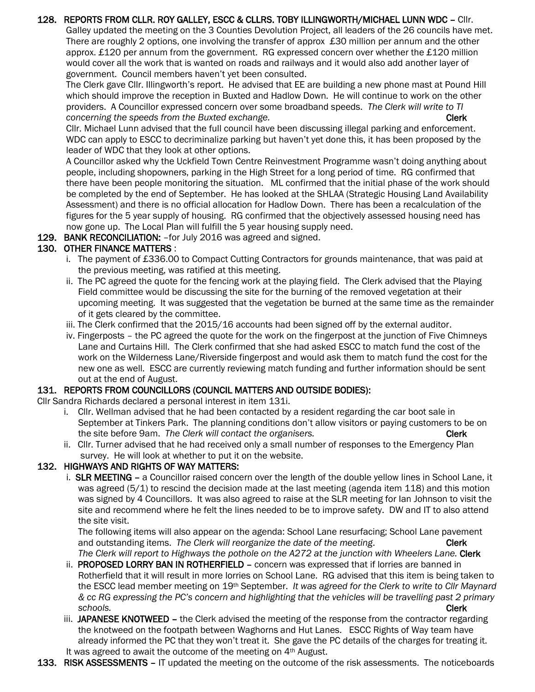#### 128. REPORTS FROM CLLR. ROY GALLEY, ESCC & CLLRS. TOBY ILLINGWORTH/MICHAEL LUNN WDC – Cllr.

 Galley updated the meeting on the 3 Counties Devolution Project, all leaders of the 26 councils have met. There are roughly 2 options, one involving the transfer of approx £30 million per annum and the other approx. £120 per annum from the government. RG expressed concern over whether the £120 million would cover all the work that is wanted on roads and railways and it would also add another layer of government. Council members haven't yet been consulted.

 The Clerk gave Cllr. Illingworth's report. He advised that EE are building a new phone mast at Pound Hill which should improve the reception in Buxted and Hadlow Down. He will continue to work on the other providers. A Councillor expressed concern over some broadband speeds. *The Clerk will write to TI concerning the speeds from the Buxted exchange.* **The set of the concerning the speeds from the Buxted exchange.** 

 Cllr. Michael Lunn advised that the full council have been discussing illegal parking and enforcement. WDC can apply to ESCC to decriminalize parking but haven't yet done this, it has been proposed by the leader of WDC that they look at other options.

 A Councillor asked why the Uckfield Town Centre Reinvestment Programme wasn't doing anything about people, including shopowners, parking in the High Street for a long period of time. RG confirmed that there have been people monitoring the situation. ML confirmed that the initial phase of the work should be completed by the end of September. He has looked at the SHLAA (Strategic Housing Land Availability Assessment) and there is no official allocation for Hadlow Down. There has been a recalculation of the figures for the 5 year supply of housing. RG confirmed that the objectively assessed housing need has now gone up. The Local Plan will fulfill the 5 year housing supply need.

129. BANK RECONCILIATION: - for July 2016 was agreed and signed.

## 130. OTHER FINANCE MATTERS :

- i. The payment of £336.00 to Compact Cutting Contractors for grounds maintenance, that was paid at the previous meeting, was ratified at this meeting.
- ii. The PC agreed the quote for the fencing work at the playing field. The Clerk advised that the Playing Field committee would be discussing the site for the burning of the removed vegetation at their upcoming meeting. It was suggested that the vegetation be burned at the same time as the remainder of it gets cleared by the committee.
- iii. The Clerk confirmed that the 2015/16 accounts had been signed off by the external auditor.
- iv. Fingerposts the PC agreed the quote for the work on the fingerpost at the junction of Five Chimneys Lane and Curtains Hill. The Clerk confirmed that she had asked ESCC to match fund the cost of the work on the Wilderness Lane/Riverside fingerpost and would ask them to match fund the cost for the new one as well. ESCC are currently reviewing match funding and further information should be sent out at the end of August.

#### 131. REPORTS FROM COUNCILLORS (COUNCIL MATTERS AND OUTSIDE BODIES):

- Cllr Sandra Richards declared a personal interest in item 131i.
	- i. Cllr. Wellman advised that he had been contacted by a resident regarding the car boot sale in September at Tinkers Park. The planning conditions don't allow visitors or paying customers to be on the site before 9am. The Clerk will contact the organisers. The site of the site of the Clerk
	- ii. Cllr. Turner advised that he had received only a small number of responses to the Emergency Plan survey. He will look at whether to put it on the website.

#### 132. HIGHWAYS AND RIGHTS OF WAY MATTERS:

 i. SLR MEETING – a Councillor raised concern over the length of the double yellow lines in School Lane, it was agreed (5/1) to rescind the decision made at the last meeting (agenda item 118) and this motion was signed by 4 Councillors. It was also agreed to raise at the SLR meeting for Ian Johnson to visit the site and recommend where he felt the lines needed to be to improve safety. DW and IT to also attend the site visit.

 The following items will also appear on the agenda: School Lane resurfacing; School Lane pavement and outstanding items. *The Clerk will reorganize the date of the meeting*. Clerk *The Clerk will report to Highways the pothole on the A272 at the junction with Wheelers Lane.* Clerk

- ii. PROPOSED LORRY BAN IN ROTHERFIELD concern was expressed that if lorries are banned in Rotherfield that it will result in more lorries on School Lane. RG advised that this item is being taken to the ESCC lead member meeting on 19th September. *It was agreed for the Clerk to write to Cllr Maynard & cc RG expressing the PC's concern and highlighting that the vehicles will be travelling past 2 primary schools.* Clerk
	- iii. JAPANESE KNOTWEED the Clerk advised the meeting of the response from the contractor regarding the knotweed on the footpath between Waghorns and Hut Lanes. ESCC Rights of Way team have already informed the PC that they won't treat it. She gave the PC details of the charges for treating it. It was agreed to await the outcome of the meeting on 4th August.
- 133. RISK ASSESSMENTS IT updated the meeting on the outcome of the risk assessments. The noticeboards